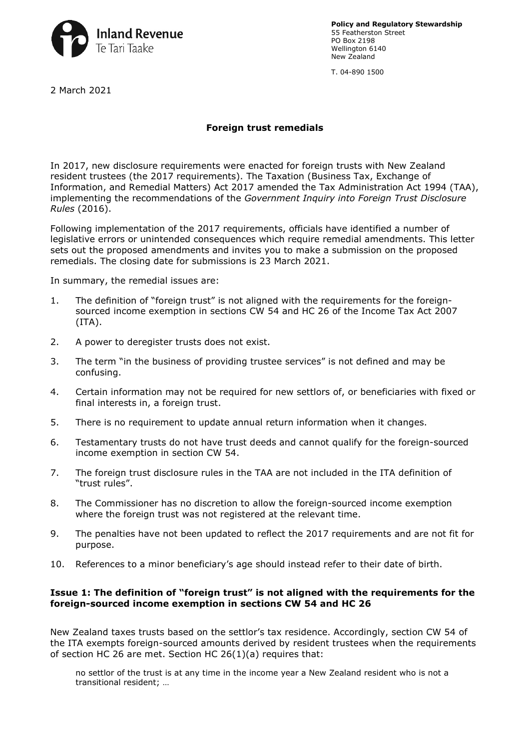

**Policy and Regulatory Stewardship** 55 Featherston Street PO Box 2198 Wellington 6140 New Zealand

T. 04-890 1500

2 March 2021

# **Foreign trust remedials**

In 2017, new disclosure requirements were enacted for foreign trusts with New Zealand resident trustees (the 2017 requirements). The Taxation (Business Tax, Exchange of Information, and Remedial Matters) Act 2017 amended the Tax Administration Act 1994 (TAA), implementing the recommendations of the *Government Inquiry into Foreign Trust Disclosure Rules* (2016).

Following implementation of the 2017 requirements, officials have identified a number of legislative errors or unintended consequences which require remedial amendments. This letter sets out the proposed amendments and invites you to make a submission on the proposed remedials. The closing date for submissions is 23 March 2021.

In summary, the remedial issues are:

- 1. [The definition of "foreign trust" is not aligned with the requirements for the foreign](#page-1-0)sourced income exemption in sections CW 54 and HC 26 of the Income Tax Act 2007  $(ITA).$
- 2. [A power to deregister trusts does not exist.](#page-2-0)
- 3. [The term "in the business of providing trustee services" is not defined and may be](#page-3-0) confusing.
- 4. [Certain information may not be required for new settlors of, or beneficiaries with fixed](#page-4-0) or final interests in, a foreign trust.
- 5. [There is no requirement to update annual return information when it changes.](#page-4-0)
- 6. [Testamentary trusts do not have trust deeds and cannot qualify for the foreign-sourced](#page-5-0) income exemption in section CW 54.
- 7. [The foreign trust disclosure rules in the TAA are not included in the ITA definition of](#page-5-0) "trust rules".
- 8. [The Commissioner has no discretion to allow the foreign-sourced income](#page-5-0) exemption where the foreign trust was not registered at the relevant time.
- 9. [The penalties have not been updated to reflect the 2017 requirements and are not fit for](#page-6-0) purpose.
- 10. [References to a minor beneficiary's age should instead refer to their date of birth.](#page-7-0)

## **Issue 1: The definition of "foreign trust" is not aligned with the requirements for the foreign-sourced income exemption in sections CW 54 and HC 26**

New Zealand taxes trusts based on the settlor's tax residence. Accordingly, section CW 54 of the ITA exempts foreign-sourced amounts derived by resident trustees when the requirements of section HC 26 are met. Section HC 26(1)(a) requires that:

no settlor of the trust is at any time in the income year a New Zealand resident who is not a transitional resident; …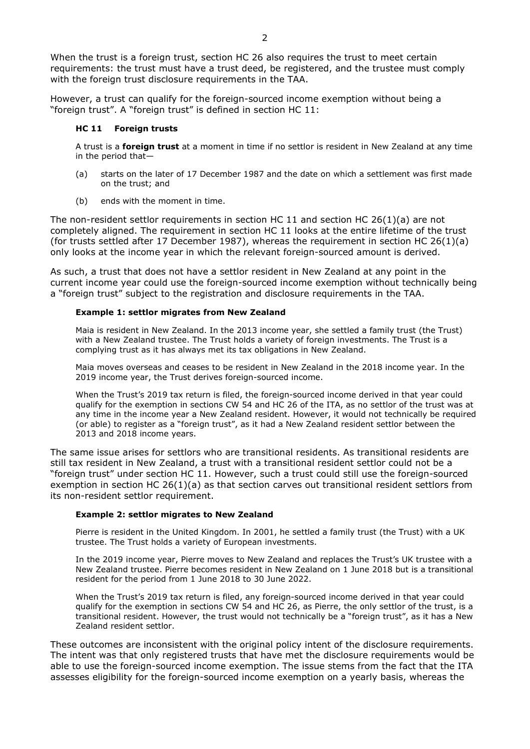<span id="page-1-0"></span>When the trust is a foreign trust, section HC 26 also requires the trust to meet certain requirements: the trust must have a trust deed, be registered, and the trustee must comply with the foreign trust disclosure requirements in the TAA.

However, a trust can qualify for the foreign-sourced income exemption without being a "foreign trust". A "foreign trust" is defined in section HC 11:

#### **HC 11 Foreign trusts**

A trust is a **foreign trust** at a moment in time if no settlor is resident in New Zealand at any time in the period that—

- (a) starts on the later of 17 December 1987 and the date on which a settlement was first made on the trust; and
- (b) ends with the moment in time.

The non-resident settlor requirements in section HC 11 and section HC 26(1)(a) are not completely aligned. The requirement in section HC 11 looks at the entire lifetime of the trust (for trusts settled after 17 December 1987), whereas the requirement in section HC 26(1)(a) only looks at the income year in which the relevant foreign-sourced amount is derived.

As such, a trust that does not have a settlor resident in New Zealand at any point in the current income year could use the foreign-sourced income exemption without technically being a "foreign trust" subject to the registration and disclosure requirements in the TAA.

#### **Example 1: settlor migrates from New Zealand**

Maia is resident in New Zealand. In the 2013 income year, she settled a family trust (the Trust) with a New Zealand trustee. The Trust holds a variety of foreign investments. The Trust is a complying trust as it has always met its tax obligations in New Zealand.

Maia moves overseas and ceases to be resident in New Zealand in the 2018 income year. In the 2019 income year, the Trust derives foreign-sourced income.

When the Trust's 2019 tax return is filed, the foreign-sourced income derived in that year could qualify for the exemption in sections CW 54 and HC 26 of the ITA, as no settlor of the trust was at any time in the income year a New Zealand resident. However, it would not technically be required (or able) to register as a "foreign trust", as it had a New Zealand resident settlor between the 2013 and 2018 income years.

The same issue arises for settlors who are transitional residents. As transitional residents are still tax resident in New Zealand, a trust with a transitional resident settlor could not be a "foreign trust" under section HC 11. However, such a trust could still use the foreign-sourced exemption in section HC 26(1)(a) as that section carves out transitional resident settlors from its non-resident settlor requirement.

## **Example 2: settlor migrates to New Zealand**

Pierre is resident in the United Kingdom. In 2001, he settled a family trust (the Trust) with a UK trustee. The Trust holds a variety of European investments.

In the 2019 income year, Pierre moves to New Zealand and replaces the Trust's UK trustee with a New Zealand trustee. Pierre becomes resident in New Zealand on 1 June 2018 but is a transitional resident for the period from 1 June 2018 to 30 June 2022.

When the Trust's 2019 tax return is filed, any foreign-sourced income derived in that year could qualify for the exemption in sections CW 54 and HC 26, as Pierre, the only settlor of the trust, is a transitional resident. However, the trust would not technically be a "foreign trust", as it has a New Zealand resident settlor.

These outcomes are inconsistent with the original policy intent of the disclosure requirements. The intent was that only registered trusts that have met the disclosure requirements would be able to use the foreign-sourced income exemption. The issue stems from the fact that the ITA assesses eligibility for the foreign-sourced income exemption on a yearly basis, whereas the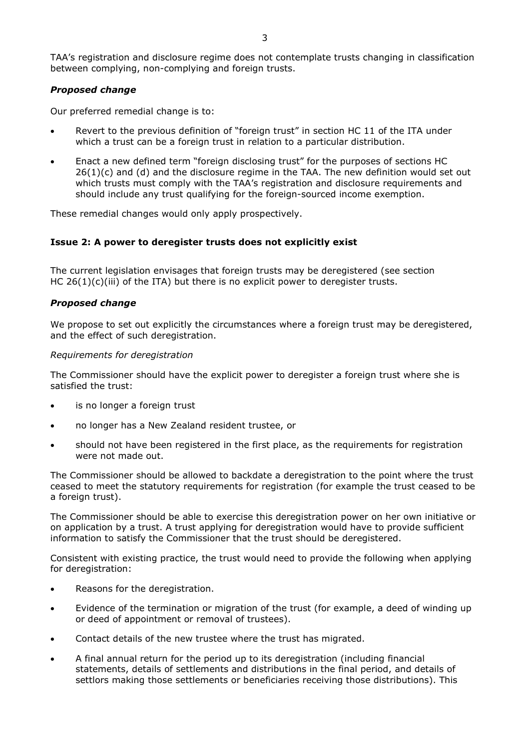<span id="page-2-0"></span>TAA's registration and disclosure regime does not contemplate trusts changing in classification between complying, non-complying and foreign trusts.

# *Proposed change*

Our preferred remedial change is to:

- Revert to the previous definition of "foreign trust" in section HC 11 of the ITA under which a trust can be a foreign trust in relation to a particular distribution.
- Enact a new defined term "foreign disclosing trust" for the purposes of sections HC 26(1)(c) and (d) and the disclosure regime in the TAA. The new definition would set out which trusts must comply with the TAA's registration and disclosure requirements and should include any trust qualifying for the foreign-sourced income exemption.

These remedial changes would only apply prospectively.

# **Issue 2: A power to deregister trusts does not explicitly exist**

The current legislation envisages that foreign trusts may be deregistered (see section HC  $26(1)(c)(iii)$  of the ITA) but there is no explicit power to deregister trusts.

# *Proposed change*

We propose to set out explicitly the circumstances where a foreign trust may be deregistered, and the effect of such deregistration.

#### *Requirements for deregistration*

The Commissioner should have the explicit power to deregister a foreign trust where she is satisfied the trust:

- is no longer a foreign trust
- no longer has a New Zealand resident trustee, or
- should not have been registered in the first place, as the requirements for registration were not made out.

The Commissioner should be allowed to backdate a deregistration to the point where the trust ceased to meet the statutory requirements for registration (for example the trust ceased to be a foreign trust).

The Commissioner should be able to exercise this deregistration power on her own initiative or on application by a trust. A trust applying for deregistration would have to provide sufficient information to satisfy the Commissioner that the trust should be deregistered.

Consistent with existing practice, the trust would need to provide the following when applying for deregistration:

- Reasons for the deregistration.
- Evidence of the termination or migration of the trust (for example, a deed of winding up or deed of appointment or removal of trustees).
- Contact details of the new trustee where the trust has migrated.
- A final annual return for the period up to its deregistration (including financial statements, details of settlements and distributions in the final period, and details of settlors making those settlements or beneficiaries receiving those distributions). This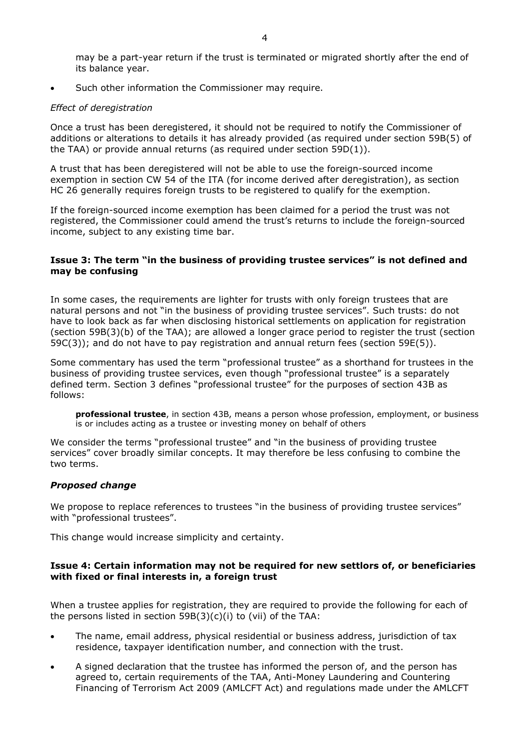<span id="page-3-0"></span>may be a part-year return if the trust is terminated or migrated shortly after the end of its balance year.

Such other information the Commissioner may require.

#### *Effect of deregistration*

Once a trust has been deregistered, it should not be required to notify the Commissioner of additions or alterations to details it has already provided (as required under section 59B(5) of the TAA) or provide annual returns (as required under section 59D(1)).

A trust that has been deregistered will not be able to use the foreign-sourced income exemption in section CW 54 of the ITA (for income derived after deregistration), as section HC 26 generally requires foreign trusts to be registered to qualify for the exemption.

If the foreign-sourced income exemption has been claimed for a period the trust was not registered, the Commissioner could amend the trust's returns to include the foreign-sourced income, subject to any existing time bar.

## **Issue 3: The term "in the business of providing trustee services" is not defined and may be confusing**

In some cases, the requirements are lighter for trusts with only foreign trustees that are natural persons and not "in the business of providing trustee services". Such trusts: do not have to look back as far when disclosing historical settlements on application for registration (section 59B(3)(b) of the TAA); are allowed a longer grace period to register the trust (section  $59C(3)$ ; and do not have to pay registration and annual return fees (section  $59E(5)$ ).

Some commentary has used the term "professional trustee" as a shorthand for trustees in the business of providing trustee services, even though "professional trustee" is a separately defined term. Section 3 defines "professional trustee" for the purposes of section 43B as follows:

**professional trustee**, in section 43B, means a person whose profession, employment, or business is or includes acting as a trustee or investing money on behalf of others

We consider the terms "professional trustee" and "in the business of providing trustee services" cover broadly similar concepts. It may therefore be less confusing to combine the two terms.

## *Proposed change*

We propose to replace references to trustees "in the business of providing trustee services" with "professional trustees".

This change would increase simplicity and certainty.

## **Issue 4: Certain information may not be required for new settlors of, or beneficiaries with fixed or final interests in, a foreign trust**

When a trustee applies for registration, they are required to provide the following for each of the persons listed in section 59B(3)(c)(i) to (vii) of the TAA:

- The name, email address, physical residential or business address, jurisdiction of tax residence, taxpayer identification number, and connection with the trust.
- A signed declaration that the trustee has informed the person of, and the person has agreed to, certain requirements of the TAA, Anti-Money Laundering and Countering Financing of Terrorism Act 2009 (AMLCFT Act) and regulations made under the AMLCFT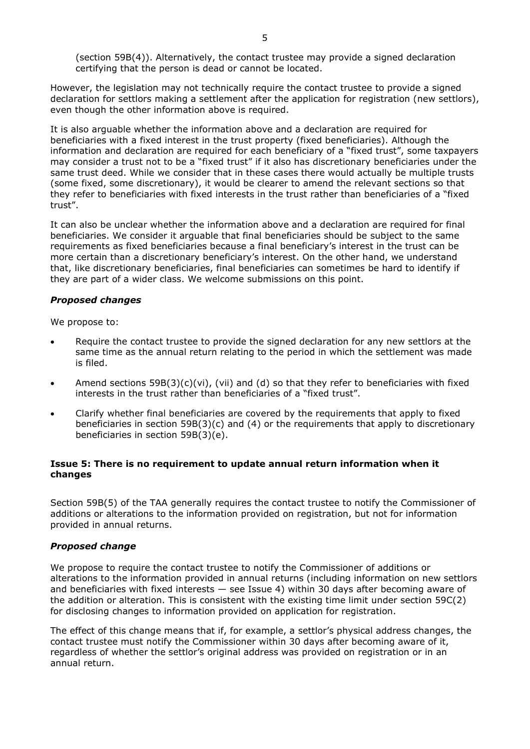<span id="page-4-0"></span>(section 59B(4)). Alternatively, the contact trustee may provide a signed declaration certifying that the person is dead or cannot be located.

However, the legislation may not technically require the contact trustee to provide a signed declaration for settlors making a settlement after the application for registration (new settlors), even though the other information above is required.

It is also arguable whether the information above and a declaration are required for beneficiaries with a fixed interest in the trust property (fixed beneficiaries). Although the information and declaration are required for each beneficiary of a "fixed trust", some taxpayers may consider a trust not to be a "fixed trust" if it also has discretionary beneficiaries under the same trust deed. While we consider that in these cases there would actually be multiple trusts (some fixed, some discretionary), it would be clearer to amend the relevant sections so that they refer to beneficiaries with fixed interests in the trust rather than beneficiaries of a "fixed trust".

It can also be unclear whether the information above and a declaration are required for final beneficiaries. We consider it arguable that final beneficiaries should be subject to the same requirements as fixed beneficiaries because a final beneficiary's interest in the trust can be more certain than a discretionary beneficiary's interest. On the other hand, we understand that, like discretionary beneficiaries, final beneficiaries can sometimes be hard to identify if they are part of a wider class. We welcome submissions on this point.

## *Proposed changes*

We propose to:

- Require the contact trustee to provide the signed declaration for any new settlors at the same time as the annual return relating to the period in which the settlement was made is filed.
- Amend sections  $59B(3)(c)(vi)$ , (vii) and (d) so that they refer to beneficiaries with fixed interests in the trust rather than beneficiaries of a "fixed trust".
- Clarify whether final beneficiaries are covered by the requirements that apply to fixed beneficiaries in section 59B(3)(c) and (4) or the requirements that apply to discretionary beneficiaries in section 59B(3)(e).

# **Issue 5: There is no requirement to update annual return information when it changes**

Section 59B(5) of the TAA generally requires the contact trustee to notify the Commissioner of additions or alterations to the information provided on registration, but not for information provided in annual returns.

## *Proposed change*

We propose to require the contact trustee to notify the Commissioner of additions or alterations to the information provided in annual returns (including information on new settlors and beneficiaries with fixed interests — see Issue 4) within 30 days after becoming aware of the addition or alteration. This is consistent with the existing time limit under section 59C(2) for disclosing changes to information provided on application for registration.

The effect of this change means that if, for example, a settlor's physical address changes, the contact trustee must notify the Commissioner within 30 days after becoming aware of it, regardless of whether the settlor's original address was provided on registration or in an annual return.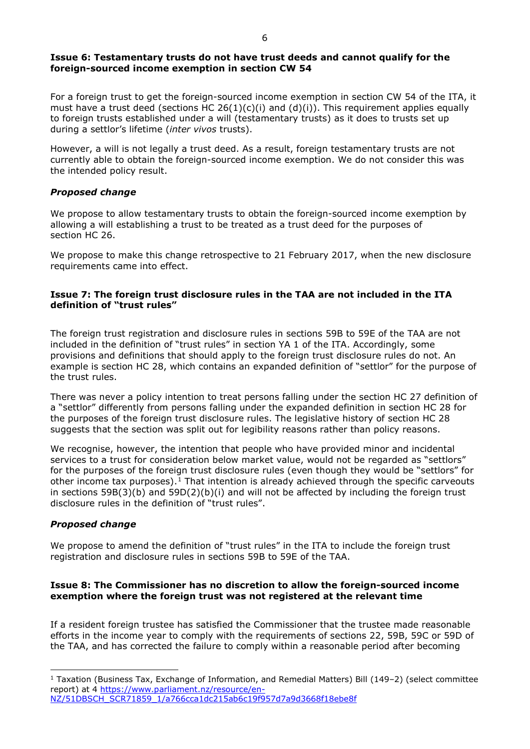## <span id="page-5-0"></span>**Issue 6: Testamentary trusts do not have trust deeds and cannot qualify for the foreign-sourced income exemption in section CW 54**

For a foreign trust to get the foreign-sourced income exemption in section CW 54 of the ITA, it must have a trust deed (sections HC  $26(1)(c)(i)$  and  $(d)(i)$ ). This requirement applies equally to foreign trusts established under a will (testamentary trusts) as it does to trusts set up during a settlor's lifetime (*inter vivos* trusts).

However, a will is not legally a trust deed. As a result, foreign testamentary trusts are not currently able to obtain the foreign-sourced income exemption. We do not consider this was the intended policy result.

# *Proposed change*

We propose to allow testamentary trusts to obtain the foreign-sourced income exemption by allowing a will establishing a trust to be treated as a trust deed for the purposes of section HC 26.

We propose to make this change retrospective to 21 February 2017, when the new disclosure requirements came into effect.

# **Issue 7: The foreign trust disclosure rules in the TAA are not included in the ITA definition of "trust rules"**

The foreign trust registration and disclosure rules in sections 59B to 59E of the TAA are not included in the definition of "trust rules" in section YA 1 of the ITA. Accordingly, some provisions and definitions that should apply to the foreign trust disclosure rules do not. An example is section HC 28, which contains an expanded definition of "settlor" for the purpose of the trust rules.

There was never a policy intention to treat persons falling under the section HC 27 definition of a "settlor" differently from persons falling under the expanded definition in section HC 28 for the purposes of the foreign trust disclosure rules. The legislative history of section HC 28 suggests that the section was split out for legibility reasons rather than policy reasons.

We recognise, however, the intention that people who have provided minor and incidental services to a trust for consideration below market value, would not be regarded as "settlors" for the purposes of the foreign trust disclosure rules (even though they would be "settlors" for other income tax purposes).<sup>[1](#page-5-1)</sup> That intention is already achieved through the specific carveouts in sections  $59B(3)(b)$  and  $59D(2)(b)(i)$  and will not be affected by including the foreign trust disclosure rules in the definition of "trust rules".

# *Proposed change*

We propose to amend the definition of "trust rules" in the ITA to include the foreign trust registration and disclosure rules in sections 59B to 59E of the TAA.

# **Issue 8: The Commissioner has no discretion to allow the foreign-sourced income exemption where the foreign trust was not registered at the relevant time**

If a resident foreign trustee has satisfied the Commissioner that the trustee made reasonable efforts in the income year to comply with the requirements of sections 22, 59B, 59C or 59D of the TAA, and has corrected the failure to comply within a reasonable period after becoming

<span id="page-5-1"></span><sup>&</sup>lt;sup>1</sup> Taxation (Business Tax, Exchange of Information, and Remedial Matters) Bill (149-2) (select committee report) at 4 [https://www.parliament.nz/resource/en-](https://www.parliament.nz/resource/en-NZ/51DBSCH_SCR71859_1/a766cca1dc215ab6c19f957d7a9d3668f18ebe8f)[NZ/51DBSCH\\_SCR71859\\_1/a766cca1dc215ab6c19f957d7a9d3668f18ebe8f](https://www.parliament.nz/resource/en-NZ/51DBSCH_SCR71859_1/a766cca1dc215ab6c19f957d7a9d3668f18ebe8f)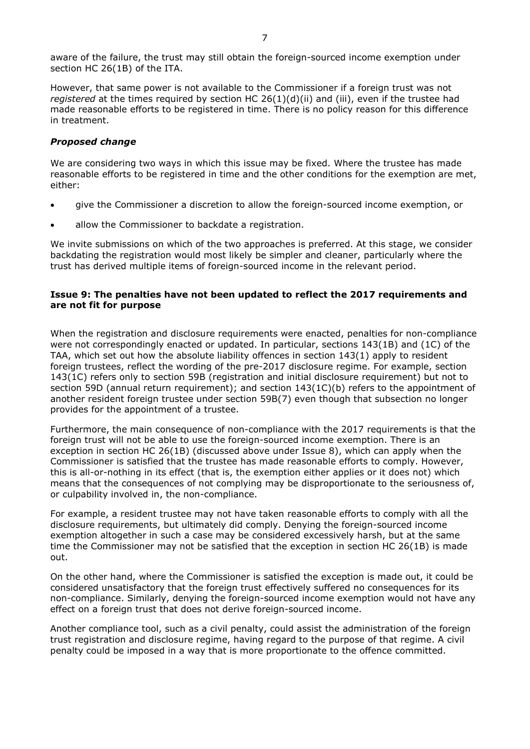<span id="page-6-0"></span>aware of the failure, the trust may still obtain the foreign-sourced income exemption under section HC 26(1B) of the ITA.

However, that same power is not available to the Commissioner if a foreign trust was not *registered* at the times required by section HC 26(1)(d)(ii) and (iii), even if the trustee had made reasonable efforts to be registered in time. There is no policy reason for this difference in treatment.

#### *Proposed change*

We are considering two ways in which this issue may be fixed. Where the trustee has made reasonable efforts to be registered in time and the other conditions for the exemption are met, either:

- give the Commissioner a discretion to allow the foreign-sourced income exemption, or
- allow the Commissioner to backdate a registration.

We invite submissions on which of the two approaches is preferred. At this stage, we consider backdating the registration would most likely be simpler and cleaner, particularly where the trust has derived multiple items of foreign-sourced income in the relevant period.

## **Issue 9: The penalties have not been updated to reflect the 2017 requirements and are not fit for purpose**

When the registration and disclosure requirements were enacted, penalties for non-compliance were not correspondingly enacted or updated. In particular, sections 143(1B) and (1C) of the TAA, which set out how the absolute liability offences in section 143(1) apply to resident foreign trustees, reflect the wording of the pre-2017 disclosure regime. For example, section 143(1C) refers only to section 59B (registration and initial disclosure requirement) but not to section 59D (annual return requirement); and section 143(1C)(b) refers to the appointment of another resident foreign trustee under section 59B(7) even though that subsection no longer provides for the appointment of a trustee.

Furthermore, the main consequence of non-compliance with the 2017 requirements is that the foreign trust will not be able to use the foreign-sourced income exemption. There is an exception in section HC 26(1B) (discussed above under Issue 8), which can apply when the Commissioner is satisfied that the trustee has made reasonable efforts to comply. However, this is all-or-nothing in its effect (that is, the exemption either applies or it does not) which means that the consequences of not complying may be disproportionate to the seriousness of, or culpability involved in, the non-compliance.

For example, a resident trustee may not have taken reasonable efforts to comply with all the disclosure requirements, but ultimately did comply. Denying the foreign-sourced income exemption altogether in such a case may be considered excessively harsh, but at the same time the Commissioner may not be satisfied that the exception in section HC 26(1B) is made out.

On the other hand, where the Commissioner is satisfied the exception is made out, it could be considered unsatisfactory that the foreign trust effectively suffered no consequences for its non-compliance. Similarly, denying the foreign-sourced income exemption would not have any effect on a foreign trust that does not derive foreign-sourced income.

Another compliance tool, such as a civil penalty, could assist the administration of the foreign trust registration and disclosure regime, having regard to the purpose of that regime. A civil penalty could be imposed in a way that is more proportionate to the offence committed.